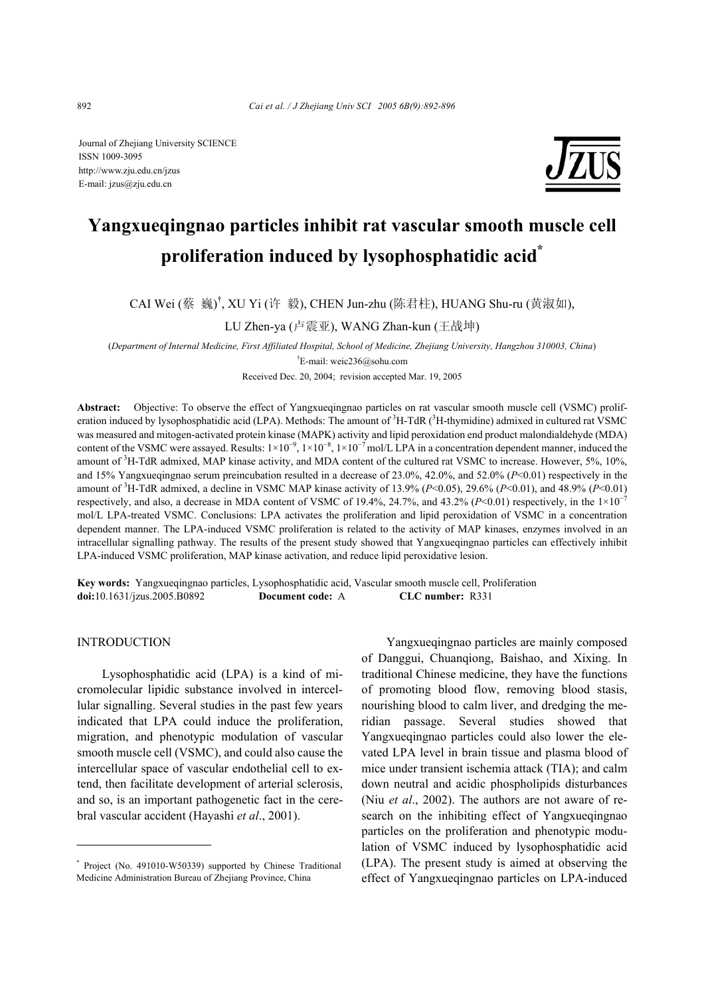Journal of Zhejiang University SCIENCE ISSN 1009-3095 http://www.zju.edu.cn/jzus E-mail: jzus@zju.edu.cn



# **Yangxueqingnao particles inhibit rat vascular smooth muscle cell proliferation induced by lysophosphatidic acid\***

CAI Wei (蔡 巍)<sup>†</sup>, XU Yi (许 毅), CHEN Jun-zhu (陈君柱), HUANG Shu-ru (黄淑如),

LU Zhen-ya (卢震亚), WANG Zhan-kun (王战坤)

(*Department of Internal Medicine, First Affiliated Hospital, School of Medicine, Zhejiang University, Hangzhou 310003, China*) † E-mail: weic236@sohu.com

Received Dec. 20, 2004; revision accepted Mar. 19, 2005

**Abstract:** Objective: To observe the effect of Yangxueqingnao particles on rat vascular smooth muscle cell (VSMC) proliferation induced by lysophosphatidic acid (LPA). Methods: The amount of  ${}^{3}H$ -TdR ( ${}^{3}H$ -thymidine) admixed in cultured rat VSMC was measured and mitogen-activated protein kinase (MAPK) activity and lipid peroxidation end product malondialdehyde (MDA) content of the VSMC were assayed. Results:  $1\times10^{-9}$ ,  $1\times10^{-8}$ ,  $1\times10^{-7}$  mol/L LPA in a concentration dependent manner, induced the amount of  ${}^{3}$ H-TdR admixed, MAP kinase activity, and MDA content of the cultured rat VSMC to increase. However, 5%, 10%, and 15% Yangxueqingnao serum preincubation resulted in a decrease of 23.0%, 42.0%, and 52.0% (*P*<0.01) respectively in the amount of <sup>3</sup> H-TdR admixed, a decline in VSMC MAP kinase activity of 13.9% (*P*<0.05), 29.6% (*P*<0.01), and 48.9% (*P*<0.01) respectively, and also, a decrease in MDA content of VSMC of 19.4%, 24.7%, and 43.2% ( $P<0.01$ ) respectively, in the  $1\times10^{-7}$ mol/L LPA-treated VSMC. Conclusions: LPA activates the proliferation and lipid peroxidation of VSMC in a concentration dependent manner. The LPA-induced VSMC proliferation is related to the activity of MAP kinases, enzymes involved in an intracellular signalling pathway. The results of the present study showed that Yangxueqingnao particles can effectively inhibit LPA-induced VSMC proliferation, MAP kinase activation, and reduce lipid peroxidative lesion.

**Key words:** Yangxueqingnao particles, Lysophosphatidic acid, Vascular smooth muscle cell, Proliferation **doi:**10.1631/jzus.2005.B0892 **Document code:** A **CLC number:** R331

## **INTRODUCTION**

Lysophosphatidic acid (LPA) is a kind of micromolecular lipidic substance involved in intercellular signalling. Several studies in the past few years indicated that LPA could induce the proliferation, migration, and phenotypic modulation of vascular smooth muscle cell (VSMC), and could also cause the intercellular space of vascular endothelial cell to extend, then facilitate development of arterial sclerosis, and so, is an important pathogenetic fact in the cerebral vascular accident (Hayashi *et al*., 2001).

Yangxueqingnao particles are mainly composed of Danggui, Chuanqiong, Baishao, and Xixing. In traditional Chinese medicine, they have the functions of promoting blood flow, removing blood stasis, nourishing blood to calm liver, and dredging the meridian passage. Several studies showed that Yangxueqingnao particles could also lower the elevated LPA level in brain tissue and plasma blood of mice under transient ischemia attack (TIA); and calm down neutral and acidic phospholipids disturbances (Niu *et al*., 2002). The authors are not aware of research on the inhibiting effect of Yangxueqingnao particles on the proliferation and phenotypic modulation of VSMC induced by lysophosphatidic acid (LPA). The present study is aimed at observing the effect of Yangxueqingnao particles on LPA-induced

<sup>\*</sup> Project (No. 491010-W50339) supported by Chinese Traditional Medicine Administration Bureau of Zhejiang Province, China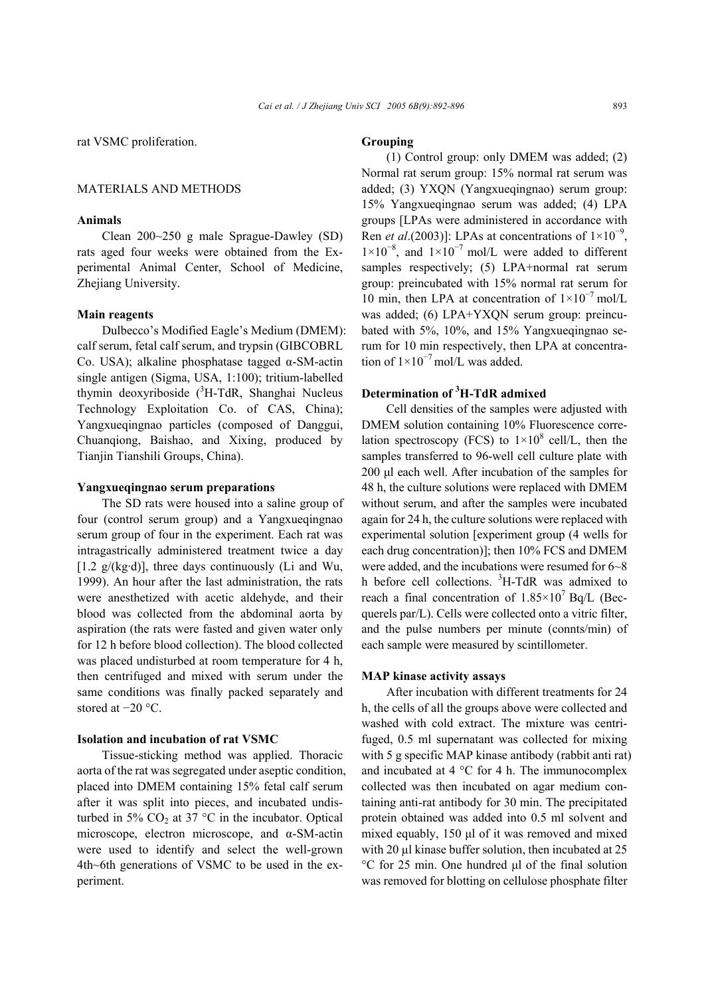rat VSMC proliferation.

## MATERIALS AND METHODS

#### **Animals**

Clean 200~250 g male Sprague-Dawley (SD) rats aged four weeks were obtained from the Experimental Animal Center, School of Medicine, Zhejiang University.

#### **Main reagents**

Dulbecco's Modified Eagle's Medium (DMEM): calf serum, fetal calf serum, and trypsin (GIBCOBRL Co. USA); alkaline phosphatase tagged α-SM-actin single antigen (Sigma, USA, 1:100); tritium-labelled thymin deoxyriboside  $(^{3}H-TdR,$  Shanghai Nucleus Technology Exploitation Co. of CAS, China); Yangxueqingnao particles (composed of Danggui, Chuanqiong, Baishao, and Xixing, produced by Tianjin Tianshili Groups, China).

#### **Yangxueqingnao serum preparations**

The SD rats were housed into a saline group of four (control serum group) and a Yangxueqingnao serum group of four in the experiment. Each rat was intragastrically administered treatment twice a day  $[1.2 \text{ g/(kg \cdot d)}]$ , three days continuously (Li and Wu, 1999). An hour after the last administration, the rats were anesthetized with acetic aldehyde, and their blood was collected from the abdominal aorta by aspiration (the rats were fasted and given water only for 12 h before blood collection). The blood collected was placed undisturbed at room temperature for 4 h, then centrifuged and mixed with serum under the same conditions was finally packed separately and stored at −20 °C.

#### **Isolation and incubation of rat VSMC**

Tissue-sticking method was applied. Thoracic aorta of the rat was segregated under aseptic condition, placed into DMEM containing 15% fetal calf serum after it was split into pieces, and incubated undisturbed in 5%  $CO<sub>2</sub>$  at 37 °C in the incubator. Optical microscope, electron microscope, and α-SM-actin were used to identify and select the well-grown 4th~6th generations of VSMC to be used in the experiment.

#### **Grouping**

(1) Control group: only DMEM was added; (2) Normal rat serum group: 15% normal rat serum was added; (3) YXQN (Yangxueqingnao) serum group: 15% Yangxueqingnao serum was added; (4) LPA groups [LPAs were administered in accordance with Ren *et al*.(2003)]: LPAs at concentrations of  $1 \times 10^{-9}$ ,  $1\times10^{-8}$ , and  $1\times10^{-7}$  mol/L were added to different samples respectively; (5) LPA+normal rat serum group: preincubated with 15% normal rat serum for 10 min, then LPA at concentration of  $1\times10^{-7}$  mol/L was added; (6) LPA+YXQN serum group: preincubated with 5%, 10%, and 15% Yangxueqingnao serum for 10 min respectively, then LPA at concentration of  $1\times10^{-7}$  mol/L was added.

## **Determination of <sup>3</sup> H-TdR admixed**

Cell densities of the samples were adjusted with DMEM solution containing 10% Fluorescence correlation spectroscopy (FCS) to  $1\times10^8$  cell/L, then the samples transferred to 96-well cell culture plate with 200 µl each well. After incubation of the samples for 48 h, the culture solutions were replaced with DMEM without serum, and after the samples were incubated again for 24 h, the culture solutions were replaced with experimental solution [experiment group (4 wells for each drug concentration)]; then 10% FCS and DMEM were added, and the incubations were resumed for 6~8 h before cell collections. <sup>3</sup>H-TdR was admixed to reach a final concentration of  $1.85 \times 10^7$  Bq/L (Becquerels par/L). Cells were collected onto a vitric filter, and the pulse numbers per minute (connts/min) of each sample were measured by scintillometer.

#### **MAP kinase activity assays**

After incubation with different treatments for 24 h, the cells of all the groups above were collected and washed with cold extract. The mixture was centrifuged, 0.5 ml supernatant was collected for mixing with 5 g specific MAP kinase antibody (rabbit anti rat) and incubated at 4 °C for 4 h. The immunocomplex collected was then incubated on agar medium containing anti-rat antibody for 30 min. The precipitated protein obtained was added into 0.5 ml solvent and mixed equably, 150 µl of it was removed and mixed with 20 µl kinase buffer solution, then incubated at 25 °C for 25 min. One hundred µl of the final solution was removed for blotting on cellulose phosphate filter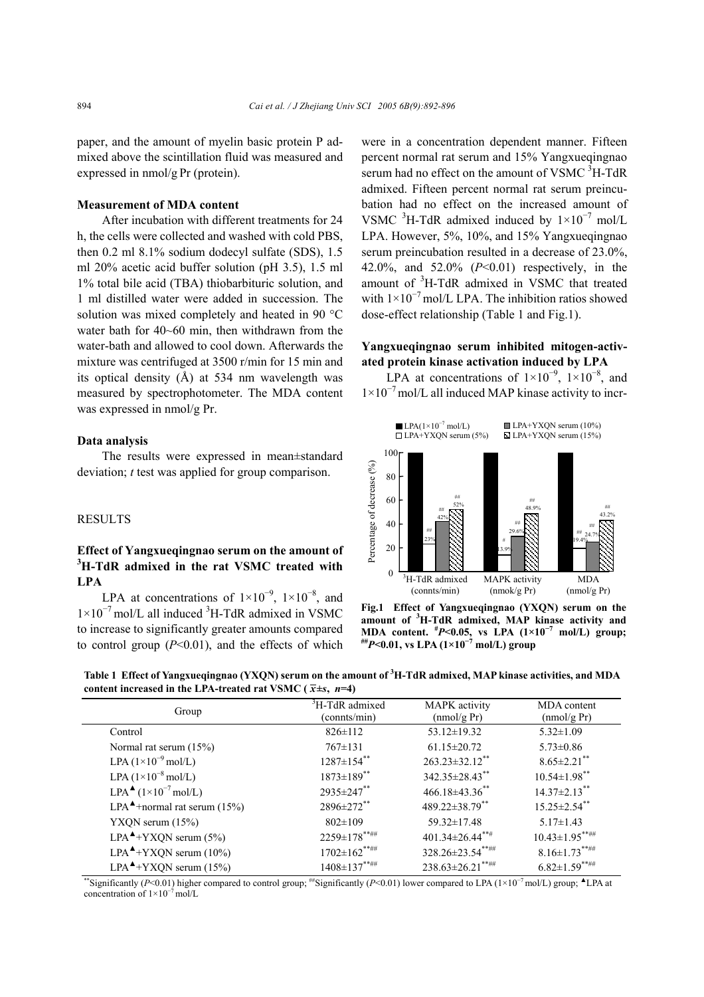paper, and the amount of myelin basic protein P admixed above the scintillation fluid was measured and expressed in nmol/g Pr (protein).

## **Measurement of MDA content**

After incubation with different treatments for 24 h, the cells were collected and washed with cold PBS, then 0.2 ml 8.1% sodium dodecyl sulfate (SDS), 1.5 ml 20% acetic acid buffer solution (pH 3.5), 1.5 ml 1% total bile acid (TBA) thiobarbituric solution, and 1 ml distilled water were added in succession. The solution was mixed completely and heated in 90 °C water bath for 40~60 min, then withdrawn from the water-bath and allowed to cool down. Afterwards the mixture was centrifuged at 3500 r/min for 15 min and its optical density (Å) at 534 nm wavelength was measured by spectrophotometer. The MDA content was expressed in nmol/g Pr.

#### **Data analysis**

The results were expressed in mean±standard deviation; *t* test was applied for group comparison.

### **RESULTS**

## **Effect of Yangxueqingnao serum on the amount of 3 H-TdR admixed in the rat VSMC treated with LPA**

LPA at concentrations of  $1\times10^{-9}$ ,  $1\times10^{-8}$ , and 1×10<sup>-7</sup> mol/L all induced <sup>3</sup>H-TdR admixed in VSMC to increase to significantly greater amounts compared to control group  $(P<0.01)$ , and the effects of which

were in a concentration dependent manner. Fifteen percent normal rat serum and 15% Yangxueqingnao serum had no effect on the amount of VSMC  $3H-TdR$ admixed. Fifteen percent normal rat serum preincubation had no effect on the increased amount of VSMC <sup>3</sup>H-TdR admixed induced by  $1\times10^{-7}$  mol/L LPA. However, 5%, 10%, and 15% Yangxueqingnao serum preincubation resulted in a decrease of 23.0%, 42.0%, and 52.0% (*P*<0.01) respectively, in the amount of <sup>3</sup>H-TdR admixed in VSMC that treated with  $1\times10^{-7}$  mol/L LPA. The inhibition ratios showed dose-effect relationship (Table 1 and Fig.1).

## **Yangxueqingnao serum inhibited mitogen-activated protein kinase activation induced by LPA**

LPA at concentrations of  $1\times10^{-9}$ ,  $1\times10^{-8}$ , and 1×10<sup>−</sup>7 mol/L all induced MAP kinase activity to incr-



**Fig.1 Effect of Yangxueqingnao (YXQN) serum on the amount of <sup>3</sup> H-TdR admixed, MAP kinase activity and MDA content. <sup>#</sup>***P***<0.05, vs LPA (1×10<sup>-7</sup> mol/L) group;<br><sup>##</sup>***P***<0.01, vs LPA (1×10<sup>-7</sup> mol/L) group** 

**Table 1 Effect of Yangxueqingnao (YXQN) serum on the amount of 3 H-TdR admixed, MAP kinase activities, and MDA**  content increased in the LPA-treated rat VSMC ( $\bar{x} \pm s$ ,  $n=4$ )

| Group                                                              | <sup>3</sup> H-TdR admixed<br>(connts/min) | MAPK activity<br>(mmol/g Pr) | MDA content<br>(mmol/g Pr) |
|--------------------------------------------------------------------|--------------------------------------------|------------------------------|----------------------------|
| Control                                                            | $826 \pm 112$                              | $53.12 \pm 19.32$            | $5.32 \pm 1.09$            |
| Normal rat serum $(15%)$                                           | $767 \pm 131$                              | $61.15 \pm 20.72$            | $5.73 \pm 0.86$            |
| LPA $(1\times10^{-9}$ mol/L)                                       | $1287 \pm 154$ **                          | $263.23 \pm 32.12$ **        | $8.65 \pm 2.21$ **         |
| LPA $(1\times10^{-8}$ mol/L)                                       | $1873 \pm 189$ **                          | 342.35±28.43**               | $10.54 \pm 1.98$ **        |
| LPA $\triangleq$ (1×10 <sup>-7</sup> mol/L)                        | $2935 \pm 247$ **                          | $466.18\pm43.36$ **          | $14.37 \pm 2.13$ **        |
| LPA <sup><math>\blacktriangle</math></sup> +normal rat serum (15%) | 2896±272**                                 | 489.22±38.79**               | $15.25 \pm 2.54$ **        |
| $YXQN$ serum $(15%)$                                               | $802 \pm 109$                              | 59.32±17.48                  | $5.17 \pm 1.43$            |
| $LPA^{\blacktriangle}$ +YXQN serum (5%)                            | $2259 \pm 178$ *****                       | $401.34 \pm 26.44$ ***       | $10.43 \pm 1.95$ ******    |
| LPA <sup><math>\blacktriangle</math>+YXQN serum (10%)</sup>        | $1702 \pm 162$ *****                       | 328.26±23.54*****            | $8.16 \pm 1.73$ ******     |
| $LPA^{\blacktriangle}$ +YXQN serum (15%)                           | $1408 \pm 137$ *****                       | $238.63 \pm 26.21$ **##      | $6.82 \pm 1.59$ *****      |

\*\*Significantly (*P*<0.01) higher compared to control group; ##Significantly (*P*<0.01) lower compared to LPA (1×10<sup>−</sup>7 mol/L) group; ▲LPA at concentration of 1×10<sup>−</sup>7 mol/L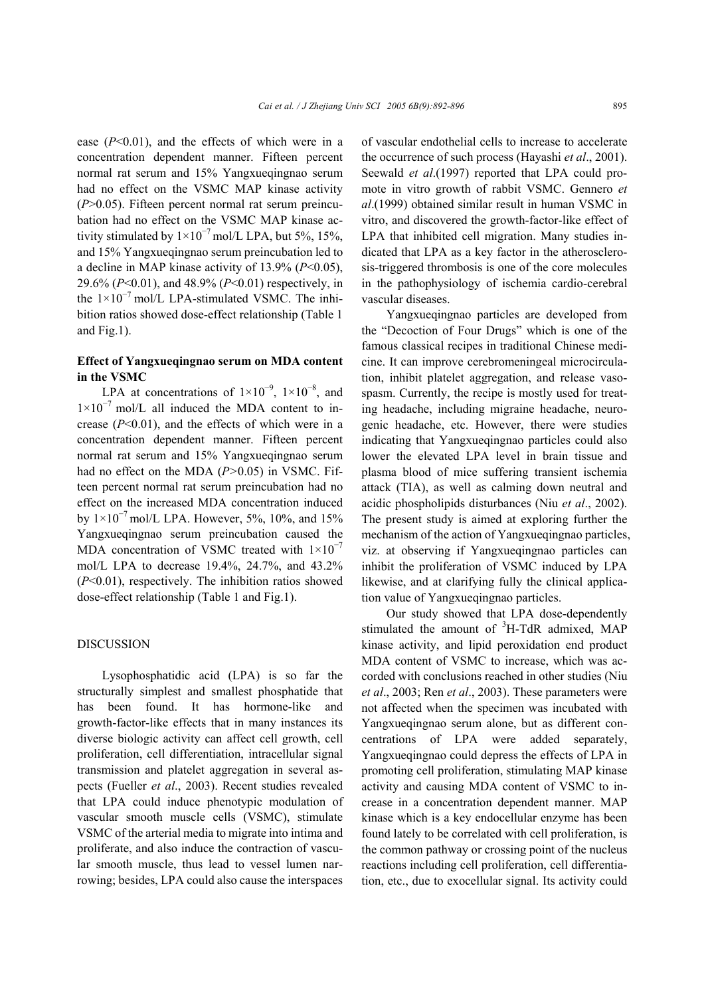ease (*P*<0.01), and the effects of which were in a concentration dependent manner. Fifteen percent normal rat serum and 15% Yangxueqingnao serum had no effect on the VSMC MAP kinase activity (*P*>0.05). Fifteen percent normal rat serum preincubation had no effect on the VSMC MAP kinase activity stimulated by  $1\times10^{-7}$  mol/L LPA, but 5%, 15%, and 15% Yangxueqingnao serum preincubation led to a decline in MAP kinase activity of 13.9% (*P*<0.05), 29.6% (*P*<0.01), and 48.9% (*P*<0.01) respectively, in the  $1\times10^{-7}$  mol/L LPA-stimulated VSMC. The inhibition ratios showed dose-effect relationship (Table 1 and Fig.1).

## **Effect of Yangxueqingnao serum on MDA content in the VSMC**

LPA at concentrations of  $1\times10^{-9}$ ,  $1\times10^{-8}$ , and  $1\times10^{-7}$  mol/L all induced the MDA content to increase (*P*<0.01), and the effects of which were in a concentration dependent manner. Fifteen percent normal rat serum and 15% Yangxueqingnao serum had no effect on the MDA (*P>*0.05) in VSMC. Fifteen percent normal rat serum preincubation had no effect on the increased MDA concentration induced by  $1\times10^{-7}$  mol/L LPA. However, 5%, 10%, and 15% Yangxueqingnao serum preincubation caused the MDA concentration of VSMC treated with  $1\times10^{-7}$ mol/L LPA to decrease 19.4%, 24.7%, and 43.2% (*P*<0.01), respectively. The inhibition ratios showed dose-effect relationship (Table 1 and Fig.1).

#### DISCUSSION

Lysophosphatidic acid (LPA) is so far the structurally simplest and smallest phosphatide that has been found. It has hormone-like and growth-factor-like effects that in many instances its diverse biologic activity can affect cell growth, cell proliferation, cell differentiation, intracellular signal transmission and platelet aggregation in several aspects (Fueller *et al*., 2003). Recent studies revealed that LPA could induce phenotypic modulation of vascular smooth muscle cells (VSMC), stimulate VSMC of the arterial media to migrate into intima and proliferate, and also induce the contraction of vascular smooth muscle, thus lead to vessel lumen narrowing; besides, LPA could also cause the interspaces

of vascular endothelial cells to increase to accelerate the occurrence of such process (Hayashi *et al*., 2001). Seewald *et al*.(1997) reported that LPA could promote in vitro growth of rabbit VSMC. Gennero *et al*.(1999) obtained similar result in human VSMC in vitro, and discovered the growth-factor-like effect of LPA that inhibited cell migration. Many studies indicated that LPA as a key factor in the atherosclerosis-triggered thrombosis is one of the core molecules in the pathophysiology of ischemia cardio-cerebral vascular diseases.

Yangxueqingnao particles are developed from the "Decoction of Four Drugs" which is one of the famous classical recipes in traditional Chinese medicine. It can improve cerebromeningeal microcirculation, inhibit platelet aggregation, and release vasospasm. Currently, the recipe is mostly used for treating headache, including migraine headache, neurogenic headache, etc. However, there were studies indicating that Yangxueqingnao particles could also lower the elevated LPA level in brain tissue and plasma blood of mice suffering transient ischemia attack (TIA), as well as calming down neutral and acidic phospholipids disturbances (Niu *et al*., 2002). The present study is aimed at exploring further the mechanism of the action of Yangxueqingnao particles, viz. at observing if Yangxueqingnao particles can inhibit the proliferation of VSMC induced by LPA likewise, and at clarifying fully the clinical application value of Yangxueqingnao particles.

Our study showed that LPA dose-dependently stimulated the amount of  ${}^{3}$ H-TdR admixed, MAP kinase activity, and lipid peroxidation end product MDA content of VSMC to increase, which was accorded with conclusions reached in other studies (Niu *et al*., 2003; Ren *et al*., 2003). These parameters were not affected when the specimen was incubated with Yangxueqingnao serum alone, but as different concentrations of LPA were added separately, Yangxueqingnao could depress the effects of LPA in promoting cell proliferation, stimulating MAP kinase activity and causing MDA content of VSMC to increase in a concentration dependent manner. MAP kinase which is a key endocellular enzyme has been found lately to be correlated with cell proliferation, is the common pathway or crossing point of the nucleus reactions including cell proliferation, cell differentiation, etc., due to exocellular signal. Its activity could